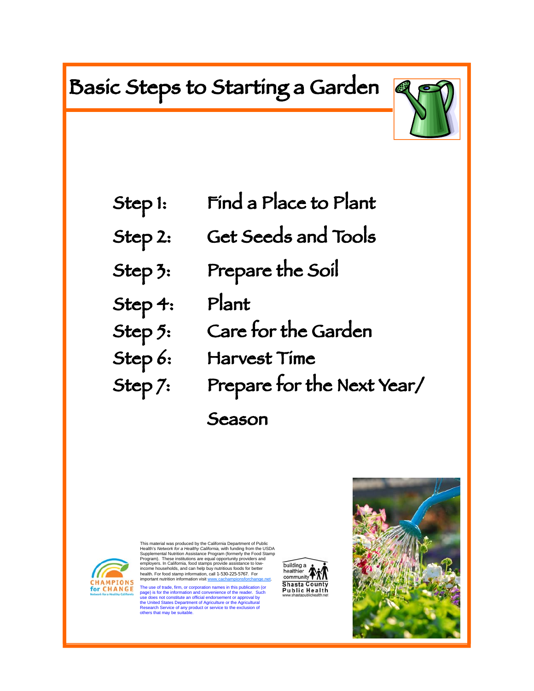# Basic Steps to Starting a Garden



- Step 1: Find a Place to Plant
- Step 2: Get Seeds and Tools
- Step 3: Prepare the Soil
- Step 4: Plant
- Step 5: Care for the Garden
- Step 6: Harvest Time
- Step 7: Prepare for the Next Year/
	- Season



Ϊ

This material was produced by the California Department of Public<br>Health's *Network for a Healthy California, w*ith funding from the USDA<br>Supplemental Nutrition Assistance Program (formerly the Food Stamp Program). These institutions are equal opportunity providers and employers. In California, food stamps provide assistance to low-income households, and can help buy nutritious foods for better health. For food stamp information, call 1-530-225-5767. For important nutrition information visit www.cachampionsforchange.net.

The use of trade, firm, or corporation names in this publication (or<br>page) is for the information and convenience of the reader. Such<br>use does not constitute an official endorsement or approval by<br>the United States Departm

building a<br>healthier healthier **TAN Shasta County Public Health** 

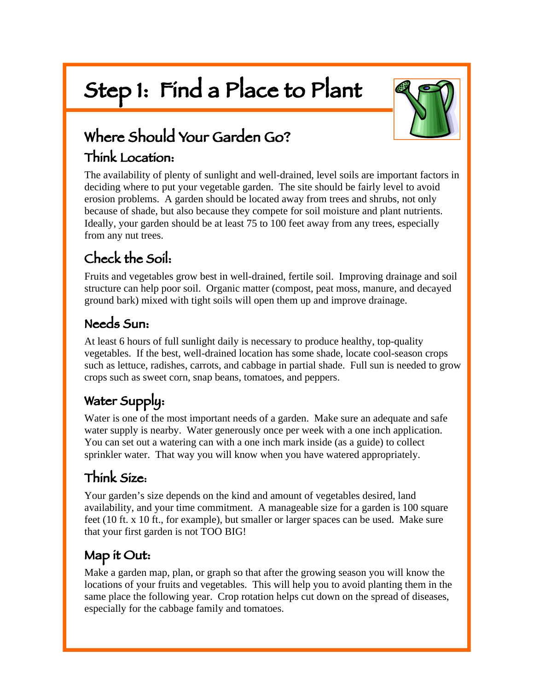# Step 1: Find a Place to Plant



# Where Should Your Garden Go?

# Think Location:

The availability of plenty of sunlight and well-drained, level soils are important factors in deciding where to put your vegetable garden. The site should be fairly level to avoid erosion problems. A garden should be located away from trees and shrubs, not only because of shade, but also because they compete for soil moisture and plant nutrients. Ideally, your garden should be at least 75 to 100 feet away from any trees, especially from any nut trees.

# Check the Soil:

Fruits and vegetables grow best in well-drained, fertile soil. Improving drainage and soil structure can help poor soil. Organic matter (compost, peat moss, manure, and decayed ground bark) mixed with tight soils will open them up and improve drainage.

## Needs Sun:

At least 6 hours of full sunlight daily is necessary to produce healthy, top-quality vegetables. If the best, well-drained location has some shade, locate cool-season crops such as lettuce, radishes, carrots, and cabbage in partial shade. Full sun is needed to grow crops such as sweet corn, snap beans, tomatoes, and peppers.

# Water Supply:

Water is one of the most important needs of a garden. Make sure an adequate and safe water supply is nearby. Water generously once per week with a one inch application. You can set out a watering can with a one inch mark inside (as a guide) to collect sprinkler water. That way you will know when you have watered appropriately.

# Think Size:

Your garden's size depends on the kind and amount of vegetables desired, land availability, and your time commitment. A manageable size for a garden is 100 square feet (10 ft. x 10 ft., for example), but smaller or larger spaces can be used. Make sure that your first garden is not TOO BIG!

# Map it Out:

Make a garden map, plan, or graph so that after the growing season you will know the locations of your fruits and vegetables. This will help you to avoid planting them in the same place the following year. Crop rotation helps cut down on the spread of diseases, especially for the cabbage family and tomatoes.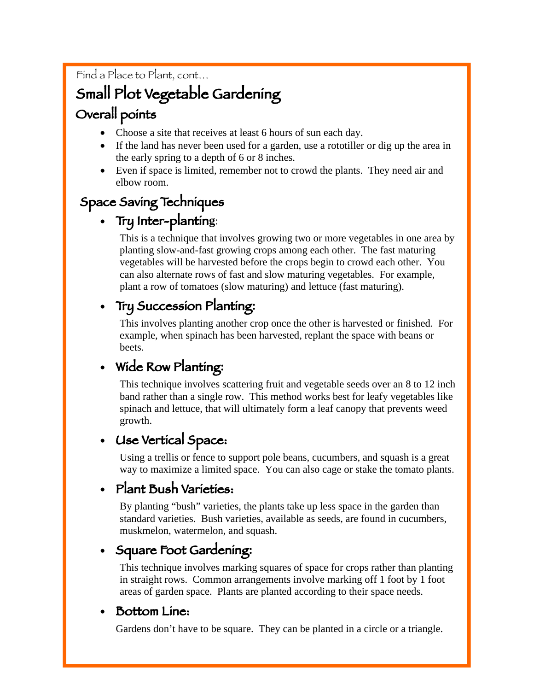Find a Place to Plant, cont…

# Small Plot Vegetable Gardening

# Overall points

- Choose a site that receives at least 6 hours of sun each day.
- If the land has never been used for a garden, use a rototiller or dig up the area in the early spring to a depth of 6 or 8 inches.
- Even if space is limited, remember not to crowd the plants. They need air and elbow room.

### Space Saving Techniques

### • Try Inter-plantin**g**:

This is a technique that involves growing two or more vegetables in one area by planting slow-and-fast growing crops among each other. The fast maturing vegetables will be harvested before the crops begin to crowd each other. You can also alternate rows of fast and slow maturing vegetables. For example, plant a row of tomatoes (slow maturing) and lettuce (fast maturing).

## • Try Succession Planting**:**

This involves planting another crop once the other is harvested or finished. For example, when spinach has been harvested, replant the space with beans or beets.

### • Wide Row Planting**:**

This technique involves scattering fruit and vegetable seeds over an 8 to 12 inch band rather than a single row. This method works best for leafy vegetables like spinach and lettuce, that will ultimately form a leaf canopy that prevents weed growth.

### • Use Vertical Space:

Using a trellis or fence to support pole beans, cucumbers, and squash is a great way to maximize a limited space. You can also cage or stake the tomato plants.

### • Plant Bush Varieties:

By planting "bush" varieties, the plants take up less space in the garden than standard varieties. Bush varieties, available as seeds, are found in cucumbers, muskmelon, watermelon, and squash.

### • Square Foot Gardening**:**

This technique involves marking squares of space for crops rather than planting in straight rows. Common arrangements involve marking off 1 foot by 1 foot areas of garden space. Plants are planted according to their space needs.

#### • Bottom Line:

Gardens don't have to be square. They can be planted in a circle or a triangle.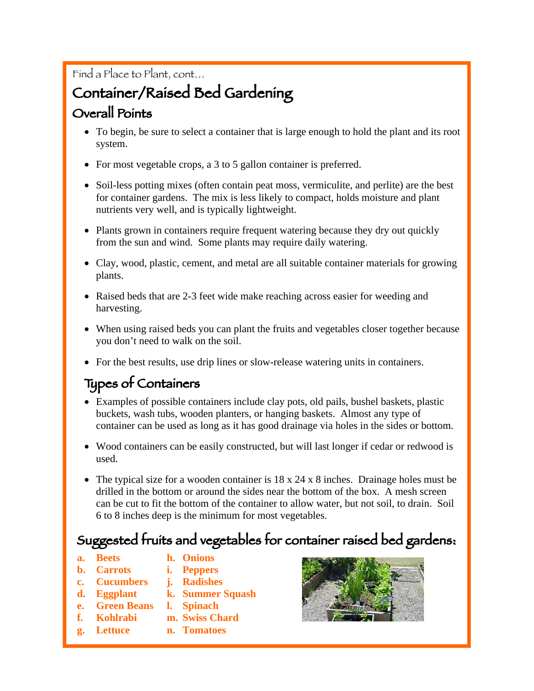### Find a Place to Plant, cont…

# Container/Raised Bed Gardening

# Overall Points

- To begin, be sure to select a container that is large enough to hold the plant and its root system.
- For most vegetable crops, a 3 to 5 gallon container is preferred.
- Soil-less potting mixes (often contain peat moss, vermiculite, and perlite) are the best for container gardens. The mix is less likely to compact, holds moisture and plant nutrients very well, and is typically lightweight.
- Plants grown in containers require frequent watering because they dry out quickly from the sun and wind. Some plants may require daily watering.
- Clay, wood, plastic, cement, and metal are all suitable container materials for growing plants.
- Raised beds that are 2-3 feet wide make reaching across easier for weeding and harvesting.
- When using raised beds you can plant the fruits and vegetables closer together because you don't need to walk on the soil.
- For the best results, use drip lines or slow-release watering units in containers.

# Types of Containers

- Examples of possible containers include clay pots, old pails, bushel baskets, plastic buckets, wash tubs, wooden planters, or hanging baskets. Almost any type of container can be used as long as it has good drainage via holes in the sides or bottom.
- Wood containers can be easily constructed, but will last longer if cedar or redwood is used.
- The typical size for a wooden container is 18 x 24 x 8 inches. Drainage holes must be drilled in the bottom or around the sides near the bottom of the box. A mesh screen can be cut to fit the bottom of the container to allow water, but not soil, to drain. Soil 6 to 8 inches deep is the minimum for most vegetables.

# Suggested fruits and vegetables for container raised bed gardens:

- **a. Beets h. Onions**
- **b. Carrots i. Peppers**
- **c. Cucumbers j. Radishes**
- **d. Eggplant k. Summer Squash**
- **e. Green Beans l. Spinach**
- **f. Kohlrabi m. Swiss Chard**
- **g. Lettuce n. Tomatoes**

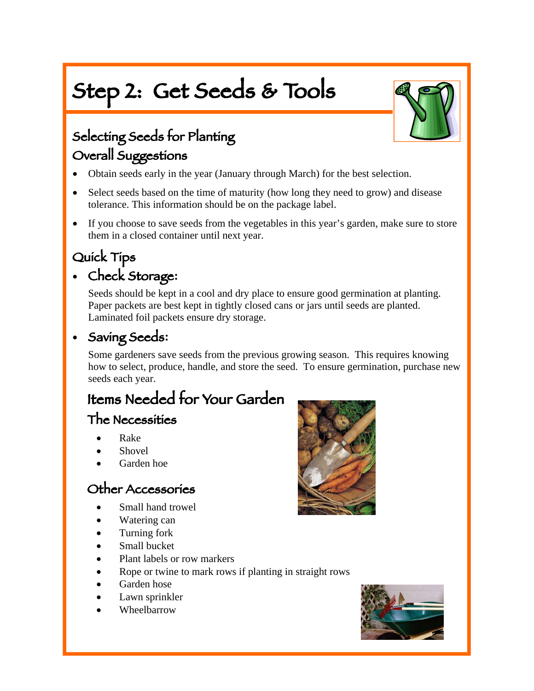# Step 2: Get Seeds & Tools



# Selecting Seeds for Planting Overall Suggestions

- Obtain seeds early in the year (January through March) for the best selection.
- Select seeds based on the time of maturity (how long they need to grow) and disease tolerance. This information should be on the package label.
- If you choose to save seeds from the vegetables in this year's garden, make sure to store them in a closed container until next year.

# Quick Tips

I

# • Check Storage**:**

Seeds should be kept in a cool and dry place to ensure good germination at planting. Paper packets are best kept in tightly closed cans or jars until seeds are planted. Laminated foil packets ensure dry storage.

### • Saving Seeds**:**

Some gardeners save seeds from the previous growing season. This requires knowing how to select, produce, handle, and store the seed. To ensure germination, purchase new seeds each year.

# Items Needed for Your Garden

### The Necessities

- Rake
- **Shovel**
- Garden hoe

### Other Accessories

- Small hand trowel
- Watering can
- Turning fork
- Small bucket
- Plant labels or row markers
- Rope or twine to mark rows if planting in straight rows
- Garden hose
- Lawn sprinkler
- Wheelbarrow



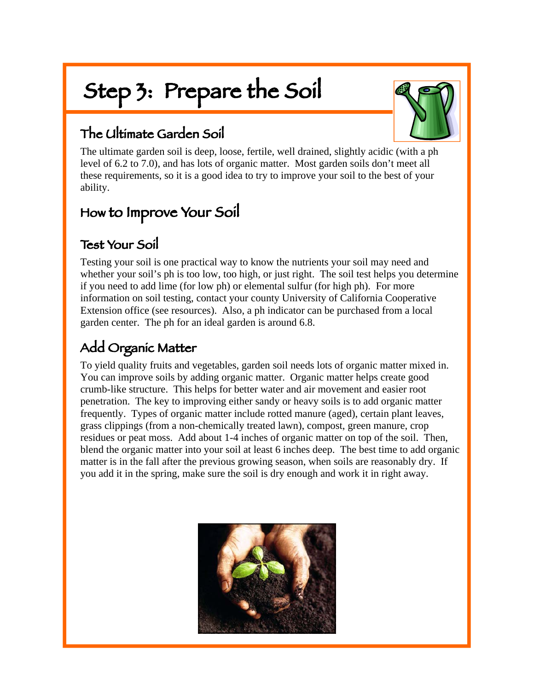# Step 3: Prepare the Soil



## The Ultimate Garden Soil

The ultimate garden soil is deep, loose, fertile, well drained, slightly acidic (with a ph level of 6.2 to 7.0), and has lots of organic matter. Most garden soils don't meet all these requirements, so it is a good idea to try to improve your soil to the best of your ability.

# How to Improve Your Soil

### Test Your Soil

Testing your soil is one practical way to know the nutrients your soil may need and whether your soil's ph is too low, too high, or just right. The soil test helps you determine if you need to add lime (for low ph) or elemental sulfur (for high ph). For more information on soil testing, contact your county University of California Cooperative Extension office (see resources). Also, a ph indicator can be purchased from a local garden center. The ph for an ideal garden is around 6.8.

# Add Organic Matter

To yield quality fruits and vegetables, garden soil needs lots of organic matter mixed in. You can improve soils by adding organic matter. Organic matter helps create good crumb-like structure. This helps for better water and air movement and easier root penetration. The key to improving either sandy or heavy soils is to add organic matter frequently. Types of organic matter include rotted manure (aged), certain plant leaves, grass clippings (from a non-chemically treated lawn), compost, green manure, crop residues or peat moss. Add about 1-4 inches of organic matter on top of the soil. Then, blend the organic matter into your soil at least 6 inches deep. The best time to add organic matter is in the fall after the previous growing season, when soils are reasonably dry. If you add it in the spring, make sure the soil is dry enough and work it in right away.

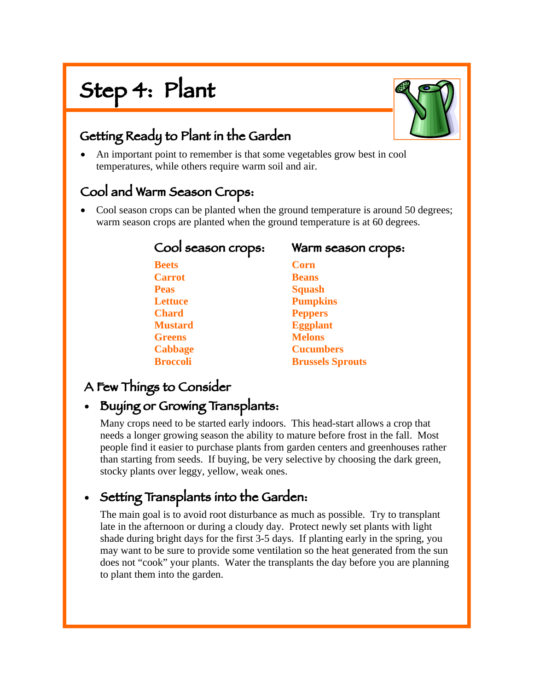# Step 4: Plant



## Getting Ready to Plant in the Garden

• An important point to remember is that some vegetables grow best in cool temperatures, while others require warm soil and air.

### Cool and Warm Season Crops:

• Cool season crops can be planted when the ground temperature is around 50 degrees; warm season crops are planted when the ground temperature is at 60 degrees.

| Cool season crops: | Warm season crops:      |
|--------------------|-------------------------|
| <b>Beets</b>       | <b>Corn</b>             |
| <b>Carrot</b>      | <b>Beans</b>            |
| <b>Peas</b>        | <b>Squash</b>           |
| <b>Lettuce</b>     | <b>Pumpkins</b>         |
| <b>Chard</b>       | <b>Peppers</b>          |
| <b>Mustard</b>     | <b>Eggplant</b>         |
| <b>Greens</b>      | <b>Melons</b>           |
| <b>Cabbage</b>     | <b>Cucumbers</b>        |
| <b>Broccoli</b>    | <b>Brussels Sprouts</b> |

## A Few Things to Consider

### • Buying or Growing Transplants:

Many crops need to be started early indoors. This head-start allows a crop that needs a longer growing season the ability to mature before frost in the fall. Most people find it easier to purchase plants from garden centers and greenhouses rather than starting from seeds. If buying, be very selective by choosing the dark green, stocky plants over leggy, yellow, weak ones.

# • Setting Transplants into the Garden:

The main goal is to avoid root disturbance as much as possible. Try to transplant late in the afternoon or during a cloudy day. Protect newly set plants with light shade during bright days for the first 3-5 days. If planting early in the spring, you may want to be sure to provide some ventilation so the heat generated from the sun does not "cook" your plants. Water the transplants the day before you are planning to plant them into the garden.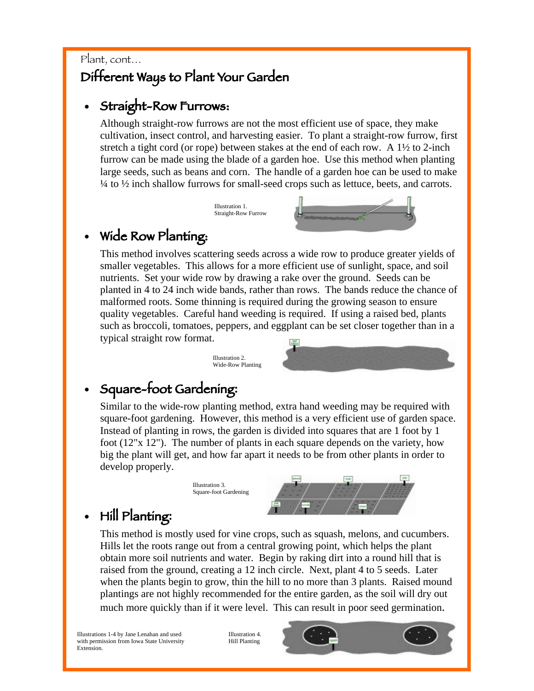### Plant, cont… Different Ways to Plant Your Garden

### • Straight-Row Furrows:

Although straight-row furrows are not the most efficient use of space, they make cultivation, insect control, and harvesting easier. To plant a straight-row furrow, first stretch a tight cord (or rope) between stakes at the end of each row. A  $1\frac{1}{2}$  to 2-inch furrow can be made using the blade of a garden hoe. Use this method when planting large seeds, such as beans and corn. The handle of a garden hoe can be used to make ¼ to ½ inch shallow furrows for small-seed crops such as lettuce, beets, and carrots.

> Illustration 1. Straight-Row Furrow



### Wide Row Planting:

This method involves scattering seeds across a wide row to produce greater yields of smaller vegetables. This allows for a more efficient use of sunlight, space, and soil nutrients. Set your wide row by drawing a rake over the ground. Seeds can be planted in 4 to 24 inch wide bands, rather than rows. The bands reduce the chance of malformed roots. Some thinning is required during the growing season to ensure quality vegetables. Careful hand weeding is required. If using a raised bed, plants such as broccoli, tomatoes, peppers, and eggplant can be set closer together than in a typical straight row format.



Illustration 3. Square-foot Gardening



# • Square-foot Gardening**:**

Similar to the wide-row planting method, extra hand weeding may be required with square-foot gardening. However, this method is a very efficient use of garden space. Instead of planting in rows, the garden is divided into squares that are 1 foot by 1 foot (12"x 12"). The number of plants in each square depends on the variety, how big the plant will get, and how far apart it needs to be from other plants in order to develop properly.



# • Hill Planting**:**

This method is mostly used for vine crops, such as squash, melons, and cucumbers. Hills let the roots range out from a central growing point, which helps the plant obtain more soil nutrients and water. Begin by raking dirt into a round hill that is raised from the ground, creating a 12 inch circle. Next, plant 4 to 5 seeds. Later when the plants begin to grow, thin the hill to no more than 3 plants. Raised mound plantings are not highly recommended for the entire garden, as the soil will dry out much more quickly than if it were level. This can result in poor seed germination.

Illustrations 1-4 by Jane Lenahan and used with permission from Iowa State University Extension.

Illustration 4. Hill Planting

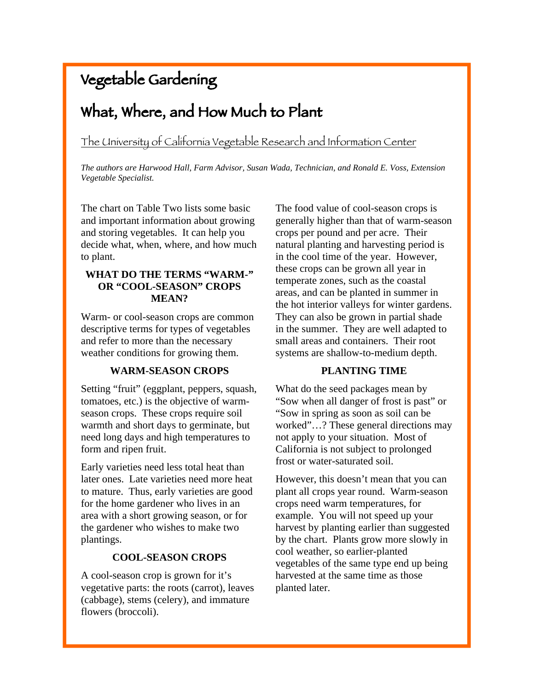# Vegetable Gardening

# What, Where, and How Much to Plant

The University of California Vegetable Research and Information Center

*The authors are Harwood Hall, Farm Advisor, Susan Wada, Technician, and Ronald E. Voss, Extension Vegetable Specialist.* 

The chart on Table Two lists some basic and important information about growing and storing vegetables. It can help you decide what, when, where, and how much to plant.

#### **WHAT DO THE TERMS "WARM-" OR "COOL-SEASON" CROPS MEAN?**

Warm- or cool-season crops are common descriptive terms for types of vegetables and refer to more than the necessary weather conditions for growing them.

#### **WARM-SEASON CROPS**

Setting "fruit" (eggplant, peppers, squash, tomatoes, etc.) is the objective of warmseason crops. These crops require soil warmth and short days to germinate, but need long days and high temperatures to form and ripen fruit.

Early varieties need less total heat than later ones. Late varieties need more heat to mature. Thus, early varieties are good for the home gardener who lives in an area with a short growing season, or for the gardener who wishes to make two plantings.

#### **COOL-SEASON CROPS**

A cool-season crop is grown for it's vegetative parts: the roots (carrot), leaves (cabbage), stems (celery), and immature flowers (broccoli).

The food value of cool-season crops is generally higher than that of warm-season crops per pound and per acre. Their natural planting and harvesting period is in the cool time of the year. However, these crops can be grown all year in temperate zones, such as the coastal areas, and can be planted in summer in the hot interior valleys for winter gardens. They can also be grown in partial shade in the summer. They are well adapted to small areas and containers. Their root systems are shallow-to-medium depth.

#### **PLANTING TIME**

What do the seed packages mean by "Sow when all danger of frost is past" or "Sow in spring as soon as soil can be worked"…? These general directions may not apply to your situation. Most of California is not subject to prolonged frost or water-saturated soil.

However, this doesn't mean that you can plant all crops year round. Warm-season crops need warm temperatures, for example. You will not speed up your harvest by planting earlier than suggested by the chart. Plants grow more slowly in cool weather, so earlier-planted vegetables of the same type end up being harvested at the same time as those planted later.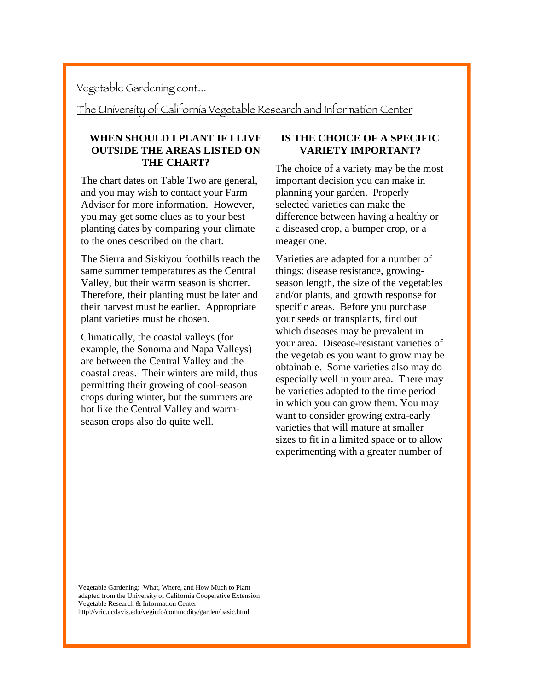Vegetable Gardening cont...

The University of California Vegetable Research and Information Center

#### **WHEN SHOULD I PLANT IF I LIVE OUTSIDE THE AREAS LISTED ON THE CHART?**

The chart dates on Table Two are general, and you may wish to contact your Farm Advisor for more information. However, you may get some clues as to your best planting dates by comparing your climate to the ones described on the chart.

The Sierra and Siskiyou foothills reach the same summer temperatures as the Central Valley, but their warm season is shorter. Therefore, their planting must be later and their harvest must be earlier. Appropriate plant varieties must be chosen.

Climatically, the coastal valleys (for example, the Sonoma and Napa Valleys) are between the Central Valley and the coastal areas. Their winters are mild, thus permitting their growing of cool-season crops during winter, but the summers are hot like the Central Valley and warmseason crops also do quite well.

#### **IS THE CHOICE OF A SPECIFIC VARIETY IMPORTANT?**

The choice of a variety may be the most important decision you can make in planning your garden. Properly selected varieties can make the difference between having a healthy or a diseased crop, a bumper crop, or a meager one.

Varieties are adapted for a number of things: disease resistance, growingseason length, the size of the vegetables and/or plants, and growth response for specific areas. Before you purchase your seeds or transplants, find out which diseases may be prevalent in your area. Disease-resistant varieties of the vegetables you want to grow may be obtainable. Some varieties also may do especially well in your area. There may be varieties adapted to the time period in which you can grow them. You may want to consider growing extra-early varieties that will mature at smaller sizes to fit in a limited space or to allow experimenting with a greater number of

Vegetable Gardening: What, Where, and How Much to Plant adapted from the University of California Cooperative Extension Vegetable Research & Information Center http://vric.ucdavis.edu/veginfo/commodity/garden/basic.html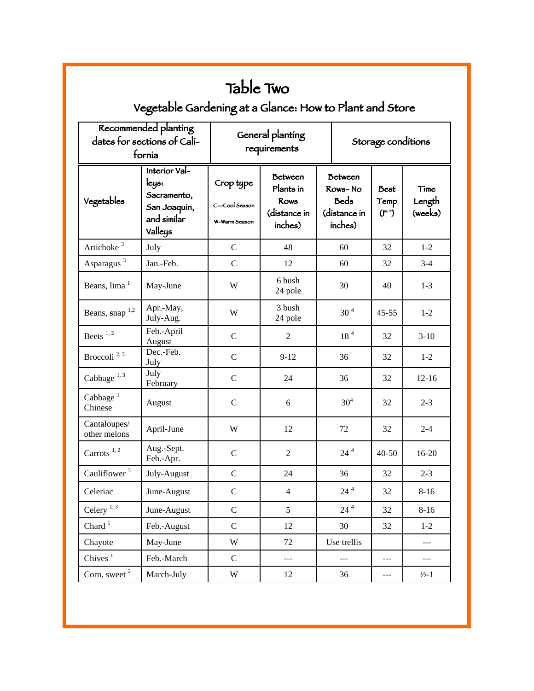| Table Two                                                     |                                                                                 |                                             |                                                                       |                 |                                                                     |                      |                           |  |  |
|---------------------------------------------------------------|---------------------------------------------------------------------------------|---------------------------------------------|-----------------------------------------------------------------------|-----------------|---------------------------------------------------------------------|----------------------|---------------------------|--|--|
| Vegetable Gardening at a Glance: How to Plant and Store       |                                                                                 |                                             |                                                                       |                 |                                                                     |                      |                           |  |  |
| Recommended planting<br>dates for sections of Cali-<br>fornía |                                                                                 | General planting<br>requirements            |                                                                       |                 | Storage conditions                                                  |                      |                           |  |  |
| Vegetables                                                    | Interior Val-<br>leys:<br>Sacramento,<br>San Joaquin,<br>and similar<br>Valleys | Crop type<br>C-Cool Season<br>W-Warm Season | <b>Between</b><br>Plants in<br><b>Rows</b><br>(distance in<br>inches) |                 | <b>Between</b><br>Rows-No<br><b>Beds</b><br>(distance in<br>inches) | Best<br>Temp<br>(F') | Time<br>Length<br>(weeks) |  |  |
| Artichoke <sup>3</sup>                                        | July                                                                            | $\mathcal{C}$                               | 48                                                                    |                 | 60                                                                  | 32                   | $1 - 2$                   |  |  |
| Asparagus <sup>3</sup>                                        | Jan.-Feb.                                                                       | $\mathbf C$                                 | 12                                                                    |                 | 60                                                                  | 32                   | $3 - 4$                   |  |  |
| Beans, lima <sup>1</sup>                                      | May-June                                                                        | W                                           | 6 bush<br>24 pole                                                     |                 | 30                                                                  | 40                   | $1-3$                     |  |  |
| Beans, snap $1,2$                                             | Apr.-May,<br>July-Aug.                                                          | W                                           | 3 bush<br>24 pole                                                     | 30 <sup>4</sup> |                                                                     | $45 - 55$            | $1 - 2$                   |  |  |
| Beets $1, 2$                                                  | Feb.-April<br>August                                                            | $\mathbf C$                                 | 2                                                                     |                 | 18 <sup>4</sup>                                                     | 32                   | $3-10$                    |  |  |
| Broccoli <sup>2, 3</sup>                                      | Dec.-Feb.<br>July                                                               | $\mathbf C$                                 | $9 - 12$                                                              |                 | 36                                                                  | 32                   | $1 - 2$                   |  |  |
| Cabbage $^{1,3}$                                              | July<br>February                                                                | $\mathbf C$                                 | 24                                                                    |                 | 36                                                                  | 32                   | $12 - 16$                 |  |  |
| Cabbage $1$<br>Chinese                                        | August                                                                          | $\mathbf C$                                 | 6                                                                     |                 | 30 <sup>4</sup>                                                     | 32                   | $2 - 3$                   |  |  |
| Cantaloupes/<br>other melons                                  | April-June                                                                      | W                                           | 12                                                                    |                 | 72                                                                  | 32                   | $2 - 4$                   |  |  |
| Carrots $1, 2$                                                | Aug.-Sept.<br>Feb.-Apr.                                                         | $\mathbf C$                                 | $\mathfrak{2}$                                                        |                 | $24^4$                                                              | $40 - 50$            | 16-20                     |  |  |
| Cauliflower <sup>3</sup>                                      | July-August                                                                     | $\mathbf C$                                 | 24                                                                    |                 | 36                                                                  | 32                   | $2 - 3$                   |  |  |
| Celeriac                                                      | June-August                                                                     | ${\bf C}$                                   | $\overline{4}$                                                        |                 | $24^4$                                                              | 32                   | $8 - 16$                  |  |  |
| Celery $^{\rm 1,\,3}$                                         | June-August                                                                     | $\mathbf C$                                 | 5                                                                     |                 | $24^4$                                                              | 32                   | $8 - 16$                  |  |  |
| Chard $1$                                                     | Feb.-August                                                                     | $\mathbf C$                                 | 12                                                                    |                 | 30                                                                  | 32                   | $1 - 2$                   |  |  |
| Chayote                                                       | May-June                                                                        | W                                           | 72                                                                    |                 | Use trellis                                                         |                      | $---$                     |  |  |
| Chives $1$                                                    | Feb.-March                                                                      | $\mathbf C$                                 | ---                                                                   | ---<br>---      |                                                                     | $\cdots$             |                           |  |  |
| Corn, sweet <sup>2</sup>                                      | March-July                                                                      | W                                           | 12                                                                    |                 | 36                                                                  | ---                  | $\frac{1}{2}$ -1          |  |  |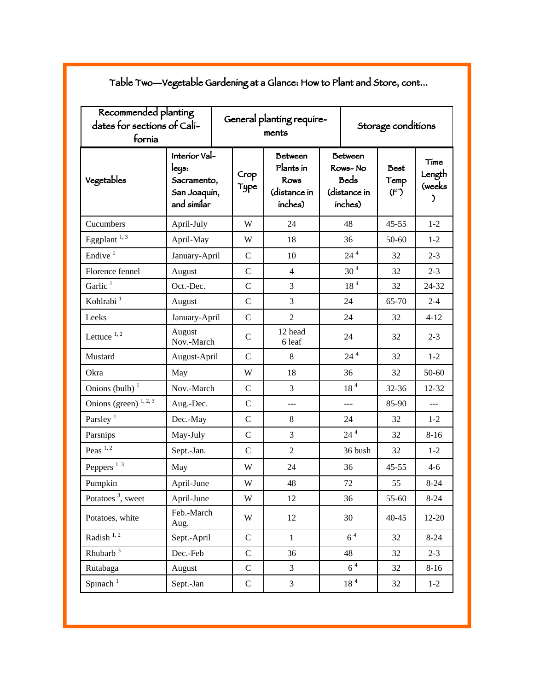| Recommended planting<br>dates for sections of Cali-<br>fornía |                                                                      |  |              | General planting require-<br>ments                             | Storage conditions                                                  |                 |                             |                               |
|---------------------------------------------------------------|----------------------------------------------------------------------|--|--------------|----------------------------------------------------------------|---------------------------------------------------------------------|-----------------|-----------------------------|-------------------------------|
| Vegetables                                                    | Interior Val-<br>leys:<br>Sacramento,<br>San Joaquin,<br>and similar |  | Crop<br>Type | <b>Between</b><br>Plants in<br>Rows<br>(distance in<br>inches) | <b>Between</b><br>Rows-No<br><b>Beds</b><br>(distance in<br>inches) |                 | <b>Best</b><br>Temp<br>(F') | Time<br>Length<br>(weeks<br>J |
| Cucumbers                                                     | April-July                                                           |  | W            | 24                                                             |                                                                     | 48              | $45 - 55$                   | $1 - 2$                       |
| Eggplant $^{1, 3}$                                            | April-May                                                            |  | W            | 18                                                             |                                                                     | 36              | 50-60                       | $1 - 2$                       |
| Endive $1$                                                    | January-April                                                        |  | $\mathbf C$  | 10                                                             |                                                                     | $24$ $^4\,$     | 32                          | $2 - 3$                       |
| Florence fennel                                               | August                                                               |  | $\mathbf C$  | $\overline{4}$                                                 |                                                                     | $30^4$          | 32                          | $2 - 3$                       |
| Garlic <sup>1</sup>                                           | Oct.-Dec.                                                            |  | $\mathbf C$  | 3                                                              |                                                                     | 18 <sup>4</sup> | 32                          | 24-32                         |
| Kohlrabi <sup>1</sup>                                         | August                                                               |  | $\mathbf C$  | 3                                                              |                                                                     | 24              | 65-70                       | $2 - 4$                       |
| Leeks                                                         | January-April                                                        |  | $\mathbf C$  | $\overline{2}$                                                 |                                                                     | 24              | 32                          | $4 - 12$                      |
| Lettuce $1, 2$                                                | August<br>Nov.-March                                                 |  | $\mathsf{C}$ | 12 head<br>6 leaf                                              | 24                                                                  |                 | 32                          | $2 - 3$                       |
| Mustard                                                       | August-April                                                         |  | $\mathsf{C}$ | 8                                                              | $24^4$                                                              |                 | 32                          | $1 - 2$                       |
| Okra                                                          | May                                                                  |  | W            | 18                                                             | 36                                                                  |                 | 32                          | $50 - 60$                     |
| Onions (bulb) $1$                                             | Nov.-March                                                           |  | $\mathbf C$  | 3                                                              |                                                                     | 18 <sup>4</sup> | 32-36                       | 12-32                         |
| Onions (green) $1, 2, 3$                                      | Aug.-Dec.                                                            |  | $\mathsf{C}$ | $\overline{a}$                                                 | $\overline{a}$                                                      |                 | 85-90                       | $\overline{a}$                |
| Parsley <sup>1</sup>                                          | Dec.-May                                                             |  | $\mathsf{C}$ | 8                                                              |                                                                     | 24              | 32                          | $1-2$                         |
| Parsnips                                                      | May-July                                                             |  | $\mathsf{C}$ | 3                                                              |                                                                     | $24^{4}$        | 32                          | $8 - 16$                      |
| Peas $1, 2$                                                   | Sept.-Jan.                                                           |  | $\mathsf{C}$ | $\overline{2}$                                                 |                                                                     | 36 bush         | 32                          | $1 - 2$                       |
| Peppers <sup>1,3</sup>                                        | May                                                                  |  | W            | 24                                                             | 36                                                                  |                 | $45 - 55$                   | $4-6$                         |
| Pumpkin                                                       | April-June                                                           |  | W            | 48                                                             | 72                                                                  |                 | 55                          | $8 - 24$                      |
| Potatoes <sup>3</sup> , sweet                                 | April-June                                                           |  | W            | 12                                                             | 36                                                                  |                 | 55-60                       | $8 - 24$                      |
| Potatoes, white                                               | Feb.-March<br>Aug.                                                   |  | W            | 12                                                             | 30                                                                  |                 | $40 - 45$                   | $12 - 20$                     |
| Radish $^{\rm 1,\,2}$                                         | Sept.-April                                                          |  | $\mathsf{C}$ | $\mathbf{1}$                                                   | 6 <sup>4</sup>                                                      |                 | 32                          | $8 - 24$                      |
| Rhubarb $3$                                                   | Dec.-Feb                                                             |  | $\mathbf C$  | 36                                                             | 48                                                                  |                 | 32                          | $2 - 3$                       |
| Rutabaga                                                      | August                                                               |  | $\mathsf{C}$ | 3                                                              |                                                                     | 6 <sup>4</sup>  | 32                          | $8 - 16$                      |
| Spinach <sup>1</sup>                                          | Sept.-Jan                                                            |  | $\mathsf{C}$ | 3                                                              |                                                                     | 18 <sup>4</sup> | 32                          | $1 - 2$                       |

Table Two—Vegetable Gardening at a Glance: How to Plant and Store, cont...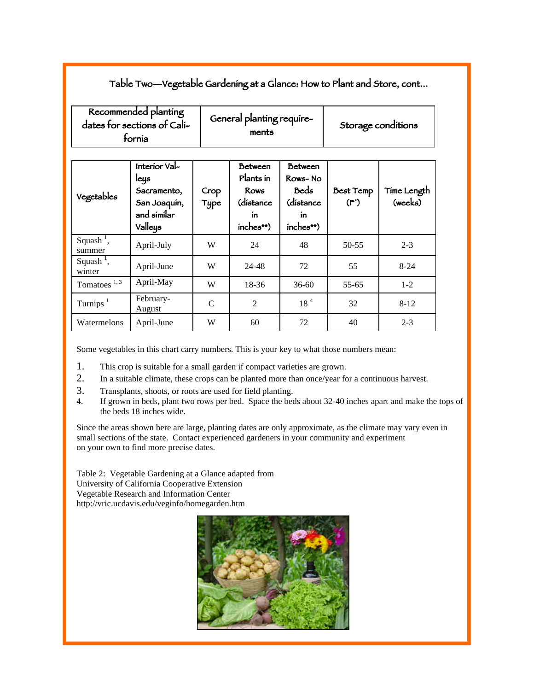#### Table Two—Vegetable Gardening at a Glance: How to Plant and Store, cont...

| Recommended planting<br>dates for sections of Cali-<br>fornía |                                                                                |               | General planting require-<br>ments                                          |                                                                          | Storage conditions                          |                        |  |
|---------------------------------------------------------------|--------------------------------------------------------------------------------|---------------|-----------------------------------------------------------------------------|--------------------------------------------------------------------------|---------------------------------------------|------------------------|--|
| Vegetables                                                    | Interior Val-<br>leys<br>Sacramento,<br>San Joaquín,<br>and similar<br>Valleys | Crop<br>Type  | <b>Between</b><br>Plants in<br><b>Rows</b><br>(distance<br>ín.<br>inches**) | <b>Between</b><br>Rows-No<br><b>Beds</b><br>(distance<br>ín<br>inches**) | <b>Best Temp</b><br>$(\mathsf{F}^{\prime})$ | Time Length<br>(weeks) |  |
| Squash <sup><math>\overline{</math></sup> ,<br>summer         | April-July                                                                     | W             | 24                                                                          | 48                                                                       | $50 - 55$                                   | $2 - 3$                |  |
| Squash <sup>1</sup> ,<br>winter                               | April-June                                                                     | W             | 24-48                                                                       | 72                                                                       | 55                                          | $8-24$                 |  |
| Tomatoes $1, 3$                                               | April-May                                                                      | W             | 18-36                                                                       | $36 - 60$                                                                | 55-65                                       | $1 - 2$                |  |
| Turnips $1$                                                   | February-<br>August                                                            | $\mathcal{C}$ | $\overline{2}$                                                              | 18 <sup>4</sup>                                                          | 32                                          | $8 - 12$               |  |
| Watermelons                                                   | April-June                                                                     | W             | 60                                                                          | 72                                                                       | 40                                          | $2 - 3$                |  |

Some vegetables in this chart carry numbers. This is your key to what those numbers mean:

- 1. This crop is suitable for a small garden if compact varieties are grown.
- 2. In a suitable climate, these crops can be planted more than once/year for a continuous harvest.
- 3. Transplants, shoots, or roots are used for field planting.
- 4. If grown in beds, plant two rows per bed. Space the beds about 32-40 inches apart and make the tops of the beds 18 inches wide.

Since the areas shown here are large, planting dates are only approximate, as the climate may vary even in small sections of the state. Contact experienced gardeners in your community and experiment on your own to find more precise dates.

Table 2: Vegetable Gardening at a Glance adapted from University of California Cooperative Extension Vegetable Research and Information Center http://vric.ucdavis.edu/veginfo/homegarden.htm

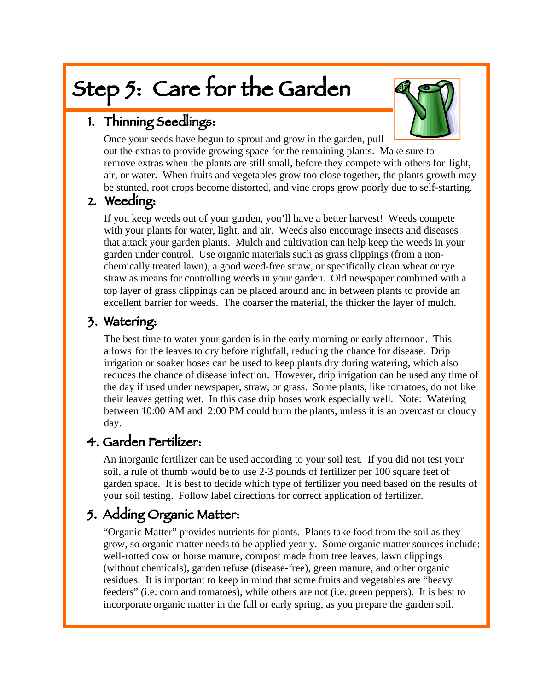# Step 5: Care for the Garden



# 1. Thinning Seedlings:

 Once your seeds have begun to sprout and grow in the garden, pull out the extras to provide growing space for the remaining plants. Make sure to remove extras when the plants are still small, before they compete with others for light, air, or water. When fruits and vegetables grow too close together, the plants growth may be stunted, root crops become distorted, and vine crops grow poorly due to self-starting.

### 2. Weeding:

 If you keep weeds out of your garden, you'll have a better harvest! Weeds compete with your plants for water, light, and air. Weeds also encourage insects and diseases that attack your garden plants. Mulch and cultivation can help keep the weeds in your garden under control. Use organic materials such as grass clippings (from a non chemically treated lawn), a good weed-free straw, or specifically clean wheat or rye straw as means for controlling weeds in your garden. Old newspaper combined with a top layer of grass clippings can be placed around and in between plants to provide an excellent barrier for weeds. The coarser the material, the thicker the layer of mulch.

### 3. Watering:

 The best time to water your garden is in the early morning or early afternoon. This allows for the leaves to dry before nightfall, reducing the chance for disease. Drip irrigation or soaker hoses can be used to keep plants dry during watering, which also reduces the chance of disease infection. However, drip irrigation can be used any time of the day if used under newspaper, straw, or grass. Some plants, like tomatoes, do not like their leaves getting wet. In this case drip hoses work especially well. Note: Watering between 10:00 AM and 2:00 PM could burn the plants, unless it is an overcast or cloudy day.

### 4. Garden Fertilizer:

 An inorganic fertilizer can be used according to your soil test. If you did not test your soil, a rule of thumb would be to use 2-3 pounds of fertilizer per 100 square feet of garden space. It is best to decide which type of fertilizer you need based on the results of your soil testing. Follow label directions for correct application of fertilizer.

# 5. Adding Organic Matter:

 "Organic Matter" provides nutrients for plants. Plants take food from the soil as they grow, so organic matter needs to be applied yearly. Some organic matter sources include: well-rotted cow or horse manure, compost made from tree leaves, lawn clippings (without chemicals), garden refuse (disease-free), green manure, and other organic residues. It is important to keep in mind that some fruits and vegetables are "heavy feeders" (i.e. corn and tomatoes), while others are not (i.e. green peppers). It is best to incorporate organic matter in the fall or early spring, as you prepare the garden soil.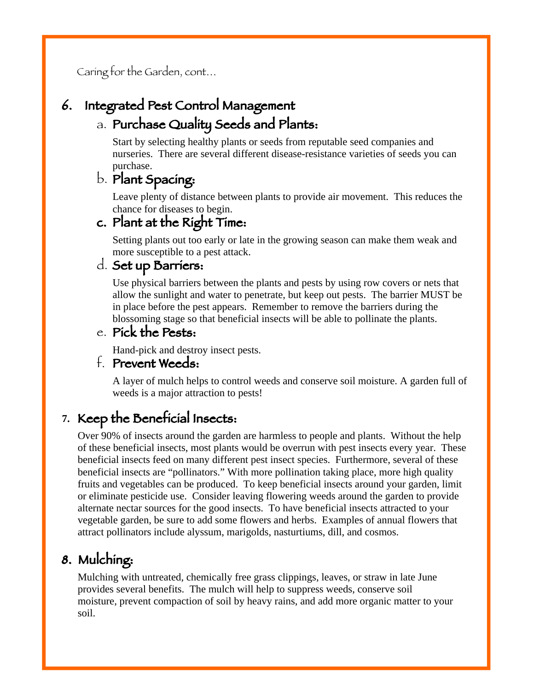Caring for the Garden, cont…

### 6. Integrated Pest Control Management

### a. Purchase Quality Seeds and Plants:

 Start by selecting healthy plants or seeds from reputable seed companies and nurseries. There are several different disease-resistance varieties of seeds you can purchase.

### b. Plant Spacing:

 Leave plenty of distance between plants to provide air movement. This reduces the chance for diseases to begin.

### c. Plant at the Right Time:

 Setting plants out too early or late in the growing season can make them weak and more susceptible to a pest attack.

#### d. Set up Barriers:

 Use physical barriers between the plants and pests by using row covers or nets that allow the sunlight and water to penetrate, but keep out pests. The barrier MUST be in place before the pest appears. Remember to remove the barriers during the blossoming stage so that beneficial insects will be able to pollinate the plants.

#### e. Pick the Pests:

Hand-pick and destroy insect pests.

#### f. Prevent Weeds:

 A layer of mulch helps to control weeds and conserve soil moisture. A garden full of weeds is a major attraction to pests!

### **7.** Keep the Beneficial Insects:

 Over 90% of insects around the garden are harmless to people and plants. Without the help of these beneficial insects, most plants would be overrun with pest insects every year. These beneficial insects feed on many different pest insect species. Furthermore, several of these beneficial insects are "pollinators." With more pollination taking place, more high quality fruits and vegetables can be produced. To keep beneficial insects around your garden, limit or eliminate pesticide use. Consider leaving flowering weeds around the garden to provide alternate nectar sources for the good insects. To have beneficial insects attracted to your vegetable garden, be sure to add some flowers and herbs. Examples of annual flowers that attract pollinators include alyssum, marigolds, nasturtiums, dill, and cosmos.

# 8. Mulching:

 Mulching with untreated, chemically free grass clippings, leaves, or straw in late June provides several benefits. The mulch will help to suppress weeds, conserve soil moisture, prevent compaction of soil by heavy rains, and add more organic matter to your soil.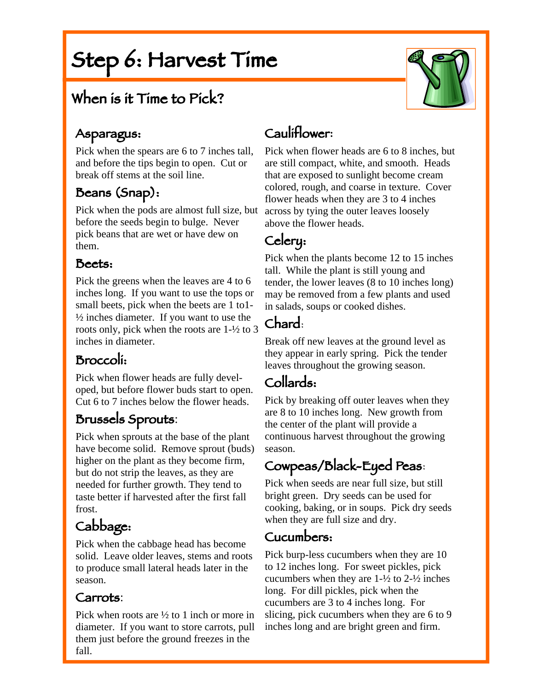# Step 6: Harvest Time

# When is it Time to Pick?

### Asparagus:

Ĩ

Pick when the spears are 6 to 7 inches tall, and before the tips begin to open. Cut or break off stems at the soil line.

### Beans (Snap):

Pick when the pods are almost full size, but before the seeds begin to bulge. Never pick beans that are wet or have dew on them.

### Beets:

Pick the greens when the leaves are 4 to 6 inches long. If you want to use the tops or small beets, pick when the beets are 1 to1-  $\frac{1}{2}$  inches diameter. If you want to use the roots only, pick when the roots are 1-½ to 3 inches in diameter.

### Broccoli:

Pick when flower heads are fully developed, but before flower buds start to open. Cut 6 to 7 inches below the flower heads.

# Brussels Sprouts:

Pick when sprouts at the base of the plant have become solid. Remove sprout (buds) higher on the plant as they become firm, but do not strip the leaves, as they are needed for further growth. They tend to taste better if harvested after the first fall frost.

# Cabbage:

Pick when the cabbage head has become solid. Leave older leaves, stems and roots to produce small lateral heads later in the season.

#### Carrots:

Pick when roots are ½ to 1 inch or more in diameter. If you want to store carrots, pull them just before the ground freezes in the fall.

# Cauliflower**:**

Pick when flower heads are 6 to 8 inches, but are still compact, white, and smooth. Heads that are exposed to sunlight become cream colored, rough, and coarse in texture. Cover flower heads when they are 3 to 4 inches across by tying the outer leaves loosely above the flower heads.

# Celery:

Pick when the plants become 12 to 15 inches tall. While the plant is still young and tender, the lower leaves (8 to 10 inches long) may be removed from a few plants and used in salads, soups or cooked dishes.

# Chard:

Break off new leaves at the ground level as they appear in early spring. Pick the tender leaves throughout the growing season.

### Collards:

Pick by breaking off outer leaves when they are 8 to 10 inches long. New growth from the center of the plant will provide a continuous harvest throughout the growing season.

# Cowpeas/Black-Eyed Peas:

Pick when seeds are near full size, but still bright green. Dry seeds can be used for cooking, baking, or in soups. Pick dry seeds when they are full size and dry.

### Cucumbers:

Pick burp-less cucumbers when they are 10 to 12 inches long. For sweet pickles, pick cucumbers when they are  $1-\frac{1}{2}$  to  $2-\frac{1}{2}$  inches long. For dill pickles, pick when the cucumbers are 3 to 4 inches long. For slicing, pick cucumbers when they are 6 to 9 inches long and are bright green and firm.

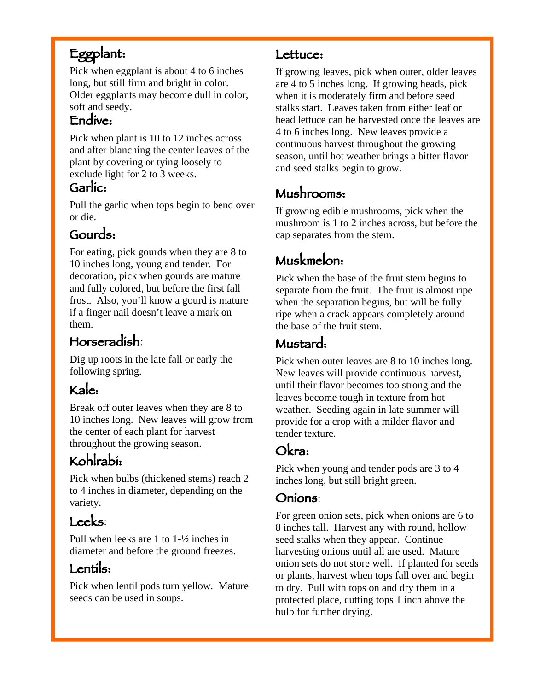# Eggplant:

Pick when eggplant is about 4 to 6 inches long, but still firm and bright in color. Older eggplants may become dull in color, soft and seedy.

### Endive:

Pick when plant is 10 to 12 inches across and after blanching the center leaves of the plant by covering or tying loosely to exclude light for 2 to 3 weeks.

### Garlic:

Pull the garlic when tops begin to bend over or die.

# Gourds:

For eating, pick gourds when they are 8 to 10 inches long, young and tender. For decoration, pick when gourds are mature and fully colored, but before the first fall frost. Also, you'll know a gourd is mature if a finger nail doesn't leave a mark on them.

# Horseradish:

Dig up roots in the late fall or early the following spring.

# Kale:

Break off outer leaves when they are 8 to 10 inches long. New leaves will grow from the center of each plant for harvest throughout the growing season.

# Kohlrabi:

Pick when bulbs (thickened stems) reach 2 to 4 inches in diameter, depending on the variety.

# Leeks:

Pull when leeks are 1 to 1-½ inches in diameter and before the ground freezes.

# Lentils:

Pick when lentil pods turn yellow. Mature seeds can be used in soups.

### Lettuce:

If growing leaves, pick when outer, older leaves are 4 to 5 inches long. If growing heads, pick when it is moderately firm and before seed stalks start. Leaves taken from either leaf or head lettuce can be harvested once the leaves are 4 to 6 inches long. New leaves provide a continuous harvest throughout the growing season, until hot weather brings a bitter flavor and seed stalks begin to grow.

# Mushrooms:

If growing edible mushrooms, pick when the mushroom is 1 to 2 inches across, but before the cap separates from the stem.

# Muskmelon:

Pick when the base of the fruit stem begins to separate from the fruit. The fruit is almost ripe when the separation begins, but will be fully ripe when a crack appears completely around the base of the fruit stem.

## Mustard:

Pick when outer leaves are 8 to 10 inches long. New leaves will provide continuous harvest, until their flavor becomes too strong and the leaves become tough in texture from hot weather. Seeding again in late summer will provide for a crop with a milder flavor and tender texture.

### Okra:

Pick when young and tender pods are 3 to 4 inches long, but still bright green.

### Onions:

For green onion sets, pick when onions are 6 to 8 inches tall. Harvest any with round, hollow seed stalks when they appear. Continue harvesting onions until all are used. Mature onion sets do not store well. If planted for seeds or plants, harvest when tops fall over and begin to dry. Pull with tops on and dry them in a protected place, cutting tops 1 inch above the bulb for further drying.

j.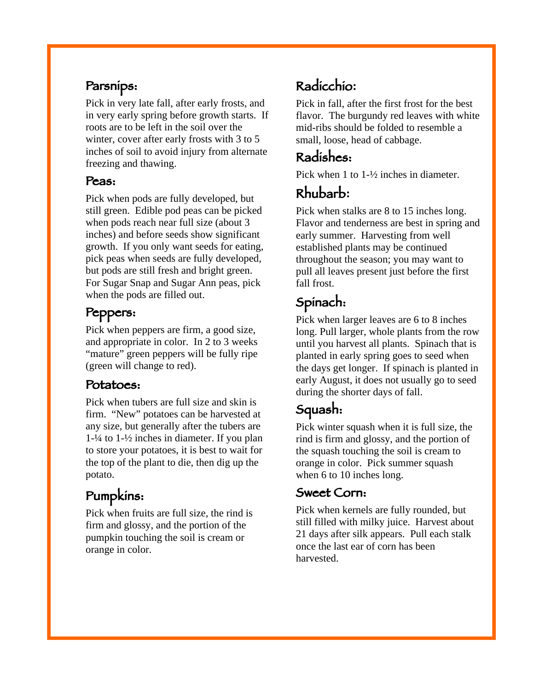### Parsnips:

Pick in very late fall, after early frosts, and in very early spring before growth starts. If roots are to be left in the soil over the winter, cover after early frosts with 3 to 5 inches of soil to avoid injury from alternate freezing and thawing.

#### Peas:

Pick when pods are fully developed, but still green. Edible pod peas can be picked when pods reach near full size (about 3 inches) and before seeds show significant growth. If you only want seeds for eating, pick peas when seeds are fully developed, but pods are still fresh and bright green. For Sugar Snap and Sugar Ann peas, pick when the pods are filled out.

## Peppers:

Pick when peppers are firm, a good size, and appropriate in color. In 2 to 3 weeks "mature" green peppers will be fully ripe (green will change to red).

### Potatoes:

Pick when tubers are full size and skin is firm. "New" potatoes can be harvested at any size, but generally after the tubers are 1-¼ to 1-½ inches in diameter. If you plan to store your potatoes, it is best to wait for the top of the plant to die, then dig up the potato.

# Pumpkins:

Pick when fruits are full size, the rind is firm and glossy, and the portion of the pumpkin touching the soil is cream or orange in color.

# Radicchio**:**

Pick in fall, after the first frost for the best flavor. The burgundy red leaves with white mid-ribs should be folded to resemble a small, loose, head of cabbage.

# Radishes:

Pick when 1 to 1-½ inches in diameter.

# Rhubarb**:**

Pick when stalks are 8 to 15 inches long. Flavor and tenderness are best in spring and early summer. Harvesting from well established plants may be continued throughout the season; you may want to pull all leaves present just before the first fall frost.

# Spinach:

Pick when larger leaves are 6 to 8 inches long. Pull larger, whole plants from the row until you harvest all plants. Spinach that is planted in early spring goes to seed when the days get longer. If spinach is planted in early August, it does not usually go to seed during the shorter days of fall.

# Squash:

Pick winter squash when it is full size, the rind is firm and glossy, and the portion of the squash touching the soil is cream to orange in color. Pick summer squash when 6 to 10 inches long.

### Sweet Corn:

Pick when kernels are fully rounded, but still filled with milky juice. Harvest about 21 days after silk appears. Pull each stalk once the last ear of corn has been harvested.

j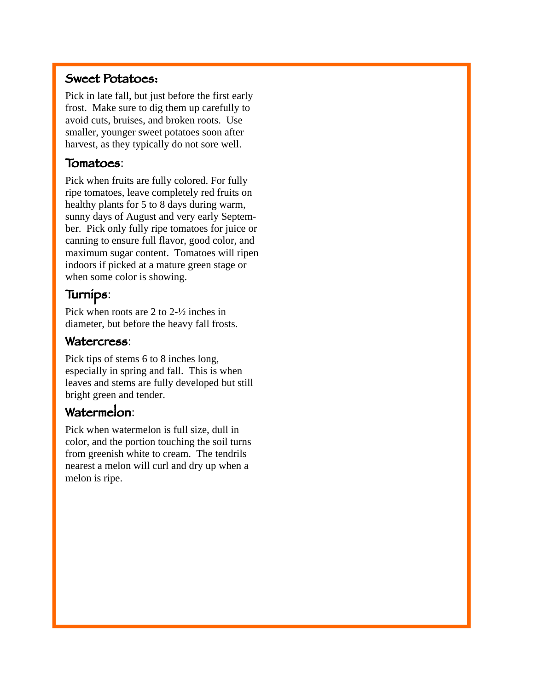#### Sweet Potatoes:

Pick in late fall, but just before the first early frost. Make sure to dig them up carefully to avoid cuts, bruises, and broken roots. Use smaller, younger sweet potatoes soon after harvest, as they typically do not sore well.

#### Tomatoes:

Pick when fruits are fully colored. For fully ripe tomatoes, leave completely red fruits on healthy plants for 5 to 8 days during warm, sunny days of August and very early September. Pick only fully ripe tomatoes for juice or canning to ensure full flavor, good color, and maximum sugar content. Tomatoes will ripen indoors if picked at a mature green stage or when some color is showing.

#### Turnips:

Pick when roots are 2 to 2-½ inches in diameter, but before the heavy fall frosts.

#### Watercress:

Pick tips of stems 6 to 8 inches long, especially in spring and fall. This is when leaves and stems are fully developed but still bright green and tender.

#### Watermelon:

Pick when watermelon is full size, dull in color, and the portion touching the soil turns from greenish white to cream. The tendrils nearest a melon will curl and dry up when a melon is ripe.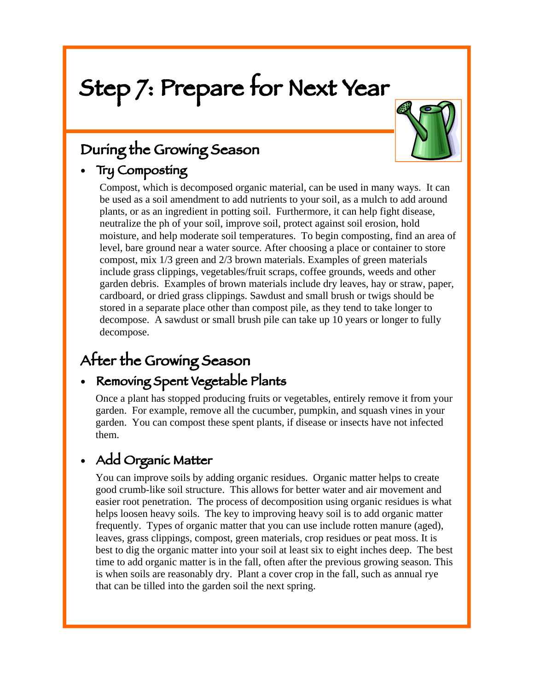# Step 7: Prepare for Next Year



# During the Growing Season

# • Try Composting

Compost, which is decomposed organic material, can be used in many ways. It can be used as a soil amendment to add nutrients to your soil, as a mulch to add around plants, or as an ingredient in potting soil. Furthermore, it can help fight disease, neutralize the ph of your soil, improve soil, protect against soil erosion, hold moisture, and help moderate soil temperatures. To begin composting, find an area of level, bare ground near a water source. After choosing a place or container to store compost, mix 1/3 green and 2/3 brown materials. Examples of green materials include grass clippings, vegetables/fruit scraps, coffee grounds, weeds and other garden debris. Examples of brown materials include dry leaves, hay or straw, paper, cardboard, or dried grass clippings. Sawdust and small brush or twigs should be stored in a separate place other than compost pile, as they tend to take longer to decompose. A sawdust or small brush pile can take up 10 years or longer to fully decompose.

# After the Growing Season

### • Removing Spent Vegetable Plants

Once a plant has stopped producing fruits or vegetables, entirely remove it from your garden. For example, remove all the cucumber, pumpkin, and squash vines in your garden. You can compost these spent plants, if disease or insects have not infected them.

# • Add Organic Matter

You can improve soils by adding organic residues. Organic matter helps to create good crumb-like soil structure. This allows for better water and air movement and easier root penetration. The process of decomposition using organic residues is what helps loosen heavy soils. The key to improving heavy soil is to add organic matter frequently. Types of organic matter that you can use include rotten manure (aged), leaves, grass clippings, compost, green materials, crop residues or peat moss. It is best to dig the organic matter into your soil at least six to eight inches deep. The best time to add organic matter is in the fall, often after the previous growing season. This is when soils are reasonably dry. Plant a cover crop in the fall, such as annual rye that can be tilled into the garden soil the next spring.